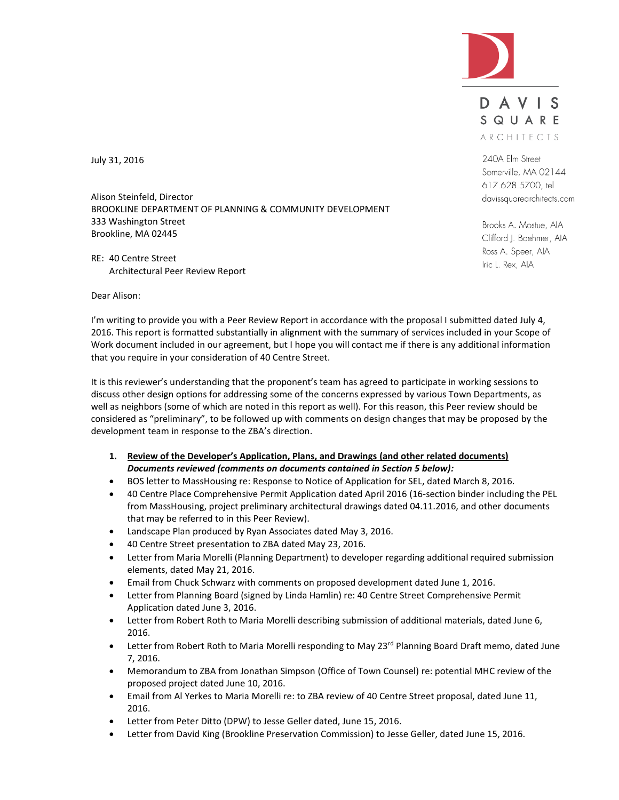

DAVIS SQUARE ARCHITECTS

240A Elm Street Somerville, MA 02144 617.628.5700, tel davissquarearchitects.com

Brooks A. Mostue, AIA Clifford J. Boehmer, AIA Ross A. Speer, AIA Iric L. Rex, AIA

July 31, 2016

Alison Steinfeld, Director BROOKLINE DEPARTMENT OF PLANNING & COMMUNITY DEVELOPMENT 333 Washington Street Brookline, MA 02445

RE: 40 Centre Street Architectural Peer Review Report

Dear Alison:

I'm writing to provide you with a Peer Review Report in accordance with the proposal I submitted dated July 4, 2016. This report is formatted substantially in alignment with the summary of services included in your Scope of Work document included in our agreement, but I hope you will contact me if there is any additional information that you require in your consideration of 40 Centre Street.

It is this reviewer's understanding that the proponent's team has agreed to participate in working sessions to discuss other design options for addressing some of the concerns expressed by various Town Departments, as well as neighbors (some of which are noted in this report as well). For this reason, this Peer review should be considered as "preliminary", to be followed up with comments on design changes that may be proposed by the development team in response to the ZBA's direction.

- **1. Review of the Developer's Application, Plans, and Drawings (and other related documents)** *Documents reviewed (comments on documents contained in Section 5 below):*
- BOS letter to MassHousing re: Response to Notice of Application for SEL, dated March 8, 2016.
- 40 Centre Place Comprehensive Permit Application dated April 2016 (16-section binder including the PEL from MassHousing, project preliminary architectural drawings dated 04.11.2016, and other documents that may be referred to in this Peer Review).
- Landscape Plan produced by Ryan Associates dated May 3, 2016.
- 40 Centre Street presentation to ZBA dated May 23, 2016.
- Letter from Maria Morelli (Planning Department) to developer regarding additional required submission elements, dated May 21, 2016.
- Email from Chuck Schwarz with comments on proposed development dated June 1, 2016.
- Letter from Planning Board (signed by Linda Hamlin) re: 40 Centre Street Comprehensive Permit Application dated June 3, 2016.
- Letter from Robert Roth to Maria Morelli describing submission of additional materials, dated June 6, 2016.
- **•** Letter from Robert Roth to Maria Morelli responding to May 23<sup>rd</sup> Planning Board Draft memo, dated June 7, 2016.
- Memorandum to ZBA from Jonathan Simpson (Office of Town Counsel) re: potential MHC review of the proposed project dated June 10, 2016.
- Email from Al Yerkes to Maria Morelli re: to ZBA review of 40 Centre Street proposal, dated June 11, 2016.
- Letter from Peter Ditto (DPW) to Jesse Geller dated, June 15, 2016.
- Letter from David King (Brookline Preservation Commission) to Jesse Geller, dated June 15, 2016.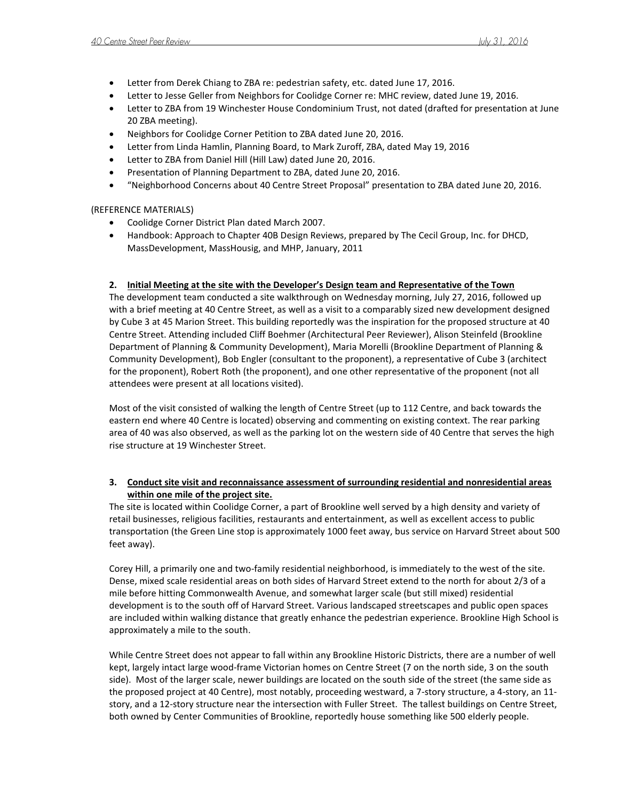- Letter from Derek Chiang to ZBA re: pedestrian safety, etc. dated June 17, 2016.
- Letter to Jesse Geller from Neighbors for Coolidge Corner re: MHC review, dated June 19, 2016.
- Letter to ZBA from 19 Winchester House Condominium Trust, not dated (drafted for presentation at June 20 ZBA meeting).
- Neighbors for Coolidge Corner Petition to ZBA dated June 20, 2016.
- Letter from Linda Hamlin, Planning Board, to Mark Zuroff, ZBA, dated May 19, 2016
- Letter to ZBA from Daniel Hill (Hill Law) dated June 20, 2016.
- Presentation of Planning Department to ZBA, dated June 20, 2016.
- "Neighborhood Concerns about 40 Centre Street Proposal" presentation to ZBA dated June 20, 2016.

## (REFERENCE MATERIALS)

- Coolidge Corner District Plan dated March 2007.
- Handbook: Approach to Chapter 40B Design Reviews, prepared by The Cecil Group, Inc. for DHCD, MassDevelopment, MassHousig, and MHP, January, 2011

## **2. Initial Meeting at the site with the Developer's Design team and Representative of the Town**

The development team conducted a site walkthrough on Wednesday morning, July 27, 2016, followed up with a brief meeting at 40 Centre Street, as well as a visit to a comparably sized new development designed by Cube 3 at 45 Marion Street. This building reportedly was the inspiration for the proposed structure at 40 Centre Street. Attending included Cliff Boehmer (Architectural Peer Reviewer), Alison Steinfeld (Brookline Department of Planning & Community Development), Maria Morelli (Brookline Department of Planning & Community Development), Bob Engler (consultant to the proponent), a representative of Cube 3 (architect for the proponent), Robert Roth (the proponent), and one other representative of the proponent (not all attendees were present at all locations visited).

Most of the visit consisted of walking the length of Centre Street (up to 112 Centre, and back towards the eastern end where 40 Centre is located) observing and commenting on existing context. The rear parking area of 40 was also observed, as well as the parking lot on the western side of 40 Centre that serves the high rise structure at 19 Winchester Street.

## **3. Conduct site visit and reconnaissance assessment of surrounding residential and nonresidential areas within one mile of the project site.**

The site is located within Coolidge Corner, a part of Brookline well served by a high density and variety of retail businesses, religious facilities, restaurants and entertainment, as well as excellent access to public transportation (the Green Line stop is approximately 1000 feet away, bus service on Harvard Street about 500 feet away).

Corey Hill, a primarily one and two-family residential neighborhood, is immediately to the west of the site. Dense, mixed scale residential areas on both sides of Harvard Street extend to the north for about 2/3 of a mile before hitting Commonwealth Avenue, and somewhat larger scale (but still mixed) residential development is to the south off of Harvard Street. Various landscaped streetscapes and public open spaces are included within walking distance that greatly enhance the pedestrian experience. Brookline High School is approximately a mile to the south.

While Centre Street does not appear to fall within any Brookline Historic Districts, there are a number of well kept, largely intact large wood-frame Victorian homes on Centre Street (7 on the north side, 3 on the south side). Most of the larger scale, newer buildings are located on the south side of the street (the same side as the proposed project at 40 Centre), most notably, proceeding westward, a 7-story structure, a 4-story, an 11 story, and a 12-story structure near the intersection with Fuller Street. The tallest buildings on Centre Street, both owned by Center Communities of Brookline, reportedly house something like 500 elderly people.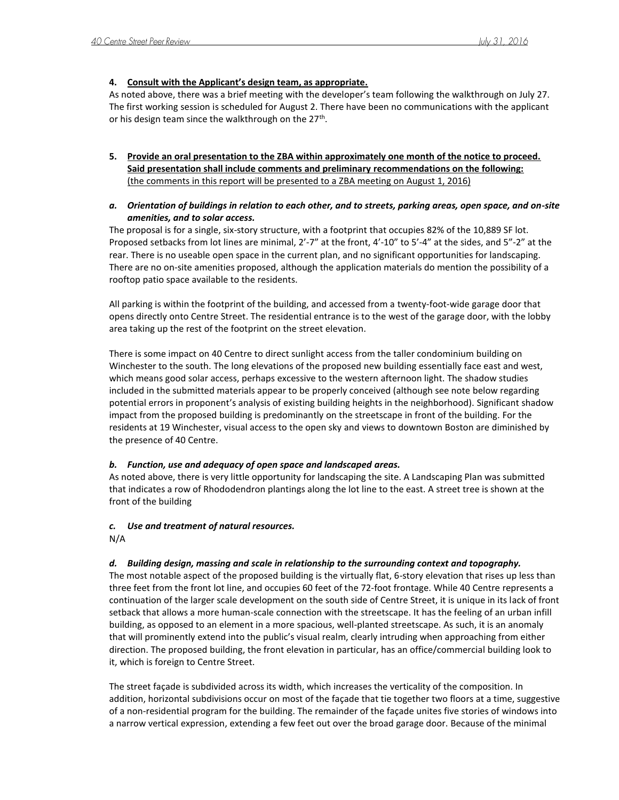#### **4. Consult with the Applicant's design team, as appropriate.**

As noted above, there was a brief meeting with the developer's team following the walkthrough on July 27. The first working session is scheduled for August 2. There have been no communications with the applicant or his design team since the walkthrough on the 27<sup>th</sup>.

- **5. Provide an oral presentation to the ZBA within approximately one month of the notice to proceed. Said presentation shall include comments and preliminary recommendations on the following:** (the comments in this report will be presented to a ZBA meeting on August 1, 2016)
- *a. Orientation of buildings in relation to each other, and to streets, parking areas, open space, and on-site amenities, and to solar access.*

The proposal is for a single, six-story structure, with a footprint that occupies 82% of the 10,889 SF lot. Proposed setbacks from lot lines are minimal, 2'-7" at the front, 4'-10" to 5'-4" at the sides, and 5"-2" at the rear. There is no useable open space in the current plan, and no significant opportunities for landscaping. There are no on-site amenities proposed, although the application materials do mention the possibility of a rooftop patio space available to the residents.

All parking is within the footprint of the building, and accessed from a twenty-foot-wide garage door that opens directly onto Centre Street. The residential entrance is to the west of the garage door, with the lobby area taking up the rest of the footprint on the street elevation.

There is some impact on 40 Centre to direct sunlight access from the taller condominium building on Winchester to the south. The long elevations of the proposed new building essentially face east and west, which means good solar access, perhaps excessive to the western afternoon light. The shadow studies included in the submitted materials appear to be properly conceived (although see note below regarding potential errors in proponent's analysis of existing building heights in the neighborhood). Significant shadow impact from the proposed building is predominantly on the streetscape in front of the building. For the residents at 19 Winchester, visual access to the open sky and views to downtown Boston are diminished by the presence of 40 Centre.

## *b. Function, use and adequacy of open space and landscaped areas.*

As noted above, there is very little opportunity for landscaping the site. A Landscaping Plan was submitted that indicates a row of Rhododendron plantings along the lot line to the east. A street tree is shown at the front of the building

## *c. Use and treatment of natural resources.*

N/A

## *d. Building design, massing and scale in relationship to the surrounding context and topography.*

The most notable aspect of the proposed building is the virtually flat, 6-story elevation that rises up less than three feet from the front lot line, and occupies 60 feet of the 72-foot frontage. While 40 Centre represents a continuation of the larger scale development on the south side of Centre Street, it is unique in its lack of front setback that allows a more human-scale connection with the streetscape. It has the feeling of an urban infill building, as opposed to an element in a more spacious, well-planted streetscape. As such, it is an anomaly that will prominently extend into the public's visual realm, clearly intruding when approaching from either direction. The proposed building, the front elevation in particular, has an office/commercial building look to it, which is foreign to Centre Street.

The street façade is subdivided across its width, which increases the verticality of the composition. In addition, horizontal subdivisions occur on most of the façade that tie together two floors at a time, suggestive of a non-residential program for the building. The remainder of the façade unites five stories of windows into a narrow vertical expression, extending a few feet out over the broad garage door. Because of the minimal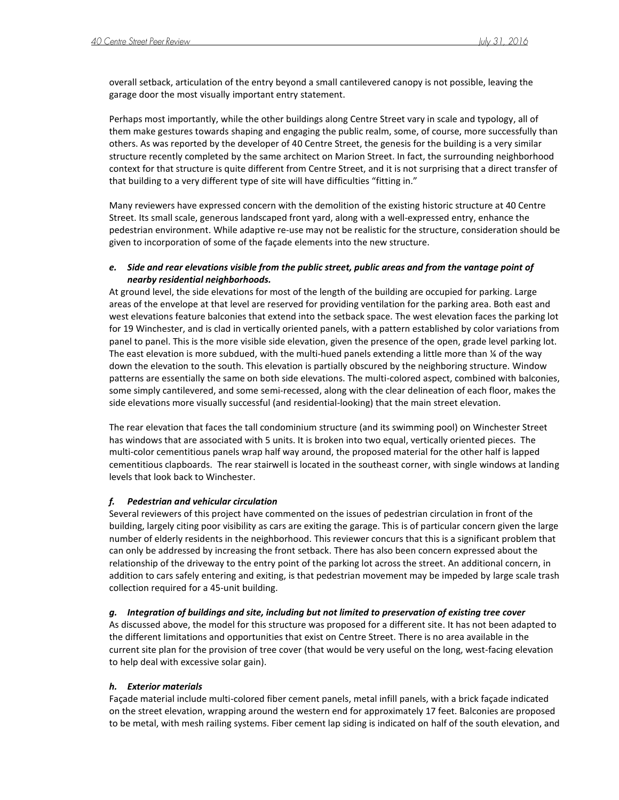overall setback, articulation of the entry beyond a small cantilevered canopy is not possible, leaving the garage door the most visually important entry statement.

Perhaps most importantly, while the other buildings along Centre Street vary in scale and typology, all of them make gestures towards shaping and engaging the public realm, some, of course, more successfully than others. As was reported by the developer of 40 Centre Street, the genesis for the building is a very similar structure recently completed by the same architect on Marion Street. In fact, the surrounding neighborhood context for that structure is quite different from Centre Street, and it is not surprising that a direct transfer of that building to a very different type of site will have difficulties "fitting in."

Many reviewers have expressed concern with the demolition of the existing historic structure at 40 Centre Street. Its small scale, generous landscaped front yard, along with a well-expressed entry, enhance the pedestrian environment. While adaptive re-use may not be realistic for the structure, consideration should be given to incorporation of some of the façade elements into the new structure.

## *e. Side and rear elevations visible from the public street, public areas and from the vantage point of nearby residential neighborhoods.*

At ground level, the side elevations for most of the length of the building are occupied for parking. Large areas of the envelope at that level are reserved for providing ventilation for the parking area. Both east and west elevations feature balconies that extend into the setback space. The west elevation faces the parking lot for 19 Winchester, and is clad in vertically oriented panels, with a pattern established by color variations from panel to panel. This is the more visible side elevation, given the presence of the open, grade level parking lot. The east elevation is more subdued, with the multi-hued panels extending a little more than ¼ of the way down the elevation to the south. This elevation is partially obscured by the neighboring structure. Window patterns are essentially the same on both side elevations. The multi-colored aspect, combined with balconies, some simply cantilevered, and some semi-recessed, along with the clear delineation of each floor, makes the side elevations more visually successful (and residential-looking) that the main street elevation.

The rear elevation that faces the tall condominium structure (and its swimming pool) on Winchester Street has windows that are associated with 5 units. It is broken into two equal, vertically oriented pieces. The multi-color cementitious panels wrap half way around, the proposed material for the other half is lapped cementitious clapboards. The rear stairwell is located in the southeast corner, with single windows at landing levels that look back to Winchester.

## *f. Pedestrian and vehicular circulation*

Several reviewers of this project have commented on the issues of pedestrian circulation in front of the building, largely citing poor visibility as cars are exiting the garage. This is of particular concern given the large number of elderly residents in the neighborhood. This reviewer concurs that this is a significant problem that can only be addressed by increasing the front setback. There has also been concern expressed about the relationship of the driveway to the entry point of the parking lot across the street. An additional concern, in addition to cars safely entering and exiting, is that pedestrian movement may be impeded by large scale trash collection required for a 45-unit building.

#### *g. Integration of buildings and site, including but not limited to preservation of existing tree cover*

As discussed above, the model for this structure was proposed for a different site. It has not been adapted to the different limitations and opportunities that exist on Centre Street. There is no area available in the current site plan for the provision of tree cover (that would be very useful on the long, west-facing elevation to help deal with excessive solar gain).

#### *h. Exterior materials*

Façade material include multi-colored fiber cement panels, metal infill panels, with a brick façade indicated on the street elevation, wrapping around the western end for approximately 17 feet. Balconies are proposed to be metal, with mesh railing systems. Fiber cement lap siding is indicated on half of the south elevation, and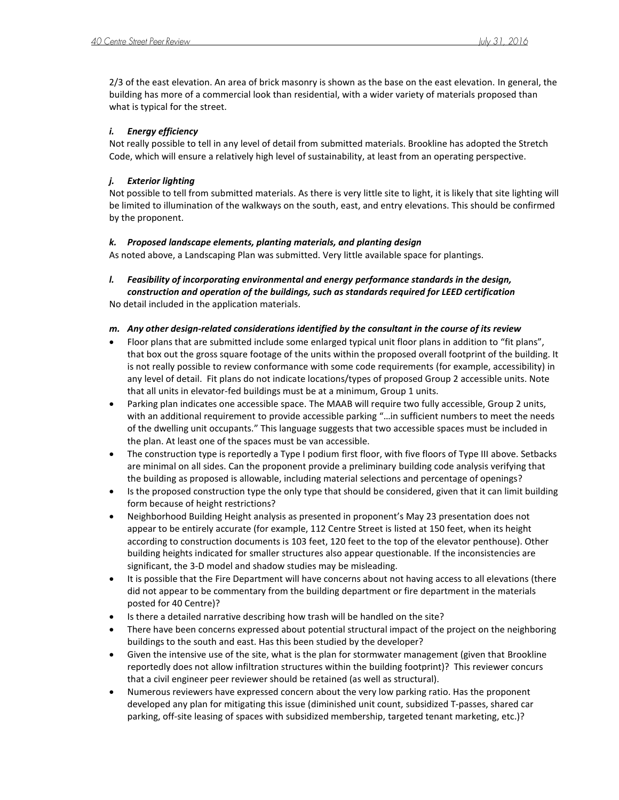2/3 of the east elevation. An area of brick masonry is shown as the base on the east elevation. In general, the building has more of a commercial look than residential, with a wider variety of materials proposed than what is typical for the street.

## *i. Energy efficiency*

Not really possible to tell in any level of detail from submitted materials. Brookline has adopted the Stretch Code, which will ensure a relatively high level of sustainability, at least from an operating perspective.

# *j. Exterior lighting*

Not possible to tell from submitted materials. As there is very little site to light, it is likely that site lighting will be limited to illumination of the walkways on the south, east, and entry elevations. This should be confirmed by the proponent.

## *k. Proposed landscape elements, planting materials, and planting design*

As noted above, a Landscaping Plan was submitted. Very little available space for plantings.

*l. Feasibility of incorporating environmental and energy performance standards in the design, construction and operation of the buildings, such as standards required for LEED certification*

No detail included in the application materials.

## *m. Any other design-related considerations identified by the consultant in the course of its review*

- Floor plans that are submitted include some enlarged typical unit floor plans in addition to "fit plans", that box out the gross square footage of the units within the proposed overall footprint of the building. It is not really possible to review conformance with some code requirements (for example, accessibility) in any level of detail. Fit plans do not indicate locations/types of proposed Group 2 accessible units. Note that all units in elevator-fed buildings must be at a minimum, Group 1 units.
- Parking plan indicates one accessible space. The MAAB will require two fully accessible, Group 2 units, with an additional requirement to provide accessible parking "…in sufficient numbers to meet the needs of the dwelling unit occupants." This language suggests that two accessible spaces must be included in the plan. At least one of the spaces must be van accessible.
- The construction type is reportedly a Type I podium first floor, with five floors of Type III above. Setbacks are minimal on all sides. Can the proponent provide a preliminary building code analysis verifying that the building as proposed is allowable, including material selections and percentage of openings?
- Is the proposed construction type the only type that should be considered, given that it can limit building form because of height restrictions?
- Neighborhood Building Height analysis as presented in proponent's May 23 presentation does not appear to be entirely accurate (for example, 112 Centre Street is listed at 150 feet, when its height according to construction documents is 103 feet, 120 feet to the top of the elevator penthouse). Other building heights indicated for smaller structures also appear questionable. If the inconsistencies are significant, the 3-D model and shadow studies may be misleading.
- It is possible that the Fire Department will have concerns about not having access to all elevations (there did not appear to be commentary from the building department or fire department in the materials posted for 40 Centre)?
- Is there a detailed narrative describing how trash will be handled on the site?
- There have been concerns expressed about potential structural impact of the project on the neighboring buildings to the south and east. Has this been studied by the developer?
- Given the intensive use of the site, what is the plan for stormwater management (given that Brookline reportedly does not allow infiltration structures within the building footprint)? This reviewer concurs that a civil engineer peer reviewer should be retained (as well as structural).
- Numerous reviewers have expressed concern about the very low parking ratio. Has the proponent developed any plan for mitigating this issue (diminished unit count, subsidized T-passes, shared car parking, off-site leasing of spaces with subsidized membership, targeted tenant marketing, etc.)?